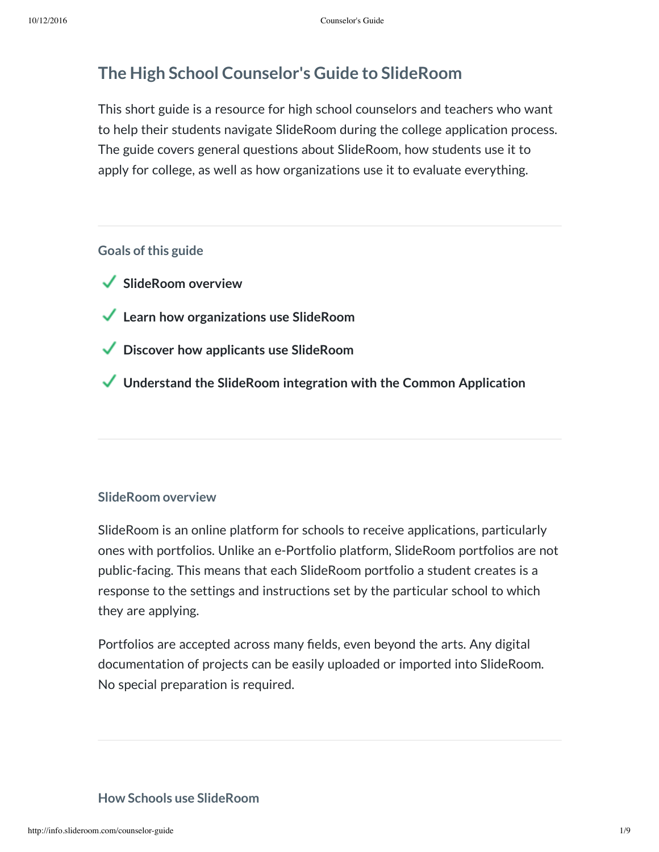# **The High School Counselor's Guide to SlideRoom**

This short guide is a resource for high school counselors and teachers who want to help their students navigate SlideRoom during the college application process. The guide covers general questions about SlideRoom, how students use it to apply for college, as well as how organizations use it to evaluate everything.

### **Goals** of this guide

- **SlideRoom overview**
- **Learn how organizations use SlideRoom**
- **Discover how applicants use SlideRoom**
- **Understand the SlideRoom integration with the Common Application**

### **SlideRoom overview**

SlideRoom is an online platform for schools to receive applications, particularly ones with portfolios. Unlike an e-Portfolio platform, SlideRoom portfolios are not public-facing. This means that each SlideRoom portfolio a student creates is a response to the settings and instructions set by the particular school to which they are applying.

Portfolios are accepted across many fields, even beyond the arts. Any digital documentation of projects can be easily uploaded or imported into SlideRoom. No special preparation is required.

### **How Schools use SlideRoom**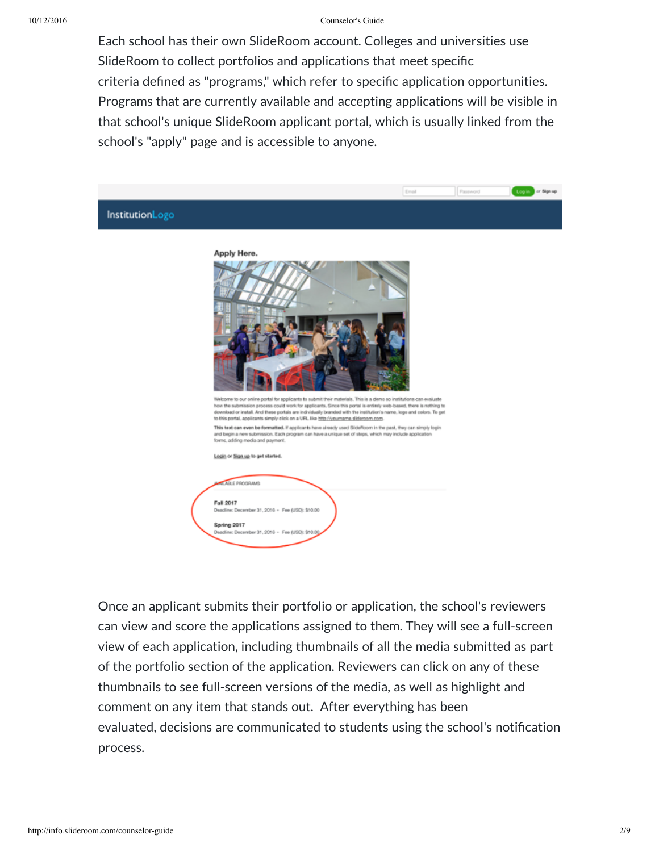Each school has their own SlideRoom account. Colleges and universities use SlideRoom to collect portfolios and applications that meet specific criteria defined as "programs," which refer to specific application opportunities. Programs that are currently available and accepting applications will be visible in that school's unique SlideRoom applicant portal, which is usually linked from the school's "apply" page and is accessible to anyone.

|                 |                                                                                                                                                                                                                                                                                                                                                                                                                                                                                                                                                                                                                                                                                                                                       | Email | Password | Log in av Signup |
|-----------------|---------------------------------------------------------------------------------------------------------------------------------------------------------------------------------------------------------------------------------------------------------------------------------------------------------------------------------------------------------------------------------------------------------------------------------------------------------------------------------------------------------------------------------------------------------------------------------------------------------------------------------------------------------------------------------------------------------------------------------------|-------|----------|------------------|
| InstitutionLogo |                                                                                                                                                                                                                                                                                                                                                                                                                                                                                                                                                                                                                                                                                                                                       |       |          |                  |
|                 | Apply Here.<br>Walcome to our online portal for applicants to submit their materials. This is a demo so institutions can evaluate<br>how the submission process could work for applicants. Since this portal is entirely web-based, there is nothing to<br>download or install. And these portals are individually branded with the institution's name, logo and colors. To get<br>to this portal, applicants simply click on a URL like http://yourname.slideroom.com.<br>This text can even be formatted. If applicants have already used SideRoom in the past, they can simply login<br>and begin a new submission. Each program can have a unique set of steps, which may include application<br>forms, adding media and payment. |       |          |                  |
|                 | Legin or Sign up to get started.                                                                                                                                                                                                                                                                                                                                                                                                                                                                                                                                                                                                                                                                                                      |       |          |                  |
|                 | <b>ALABLE PROGRAMS</b><br>Fall 2017<br>Deadline: December 31, 2016 - Fee (USD): \$10.00<br>Spring 2017<br>Deadline: December 31, 2016 - Fee (USD): \$10.00                                                                                                                                                                                                                                                                                                                                                                                                                                                                                                                                                                            |       |          |                  |

Once an applicant submits their portfolio or application, the school's reviewers can view and score the applications assigned to them. They will see a full-screen view of each application, including thumbnails of all the media submitted as part of the portfolio section of the application. Reviewers can click on any of these thumbnails to see full-screen versions of the media, as well as highlight and comment on any item that stands out. After everything has been evaluated, decisions are communicated to students using the school's notification process.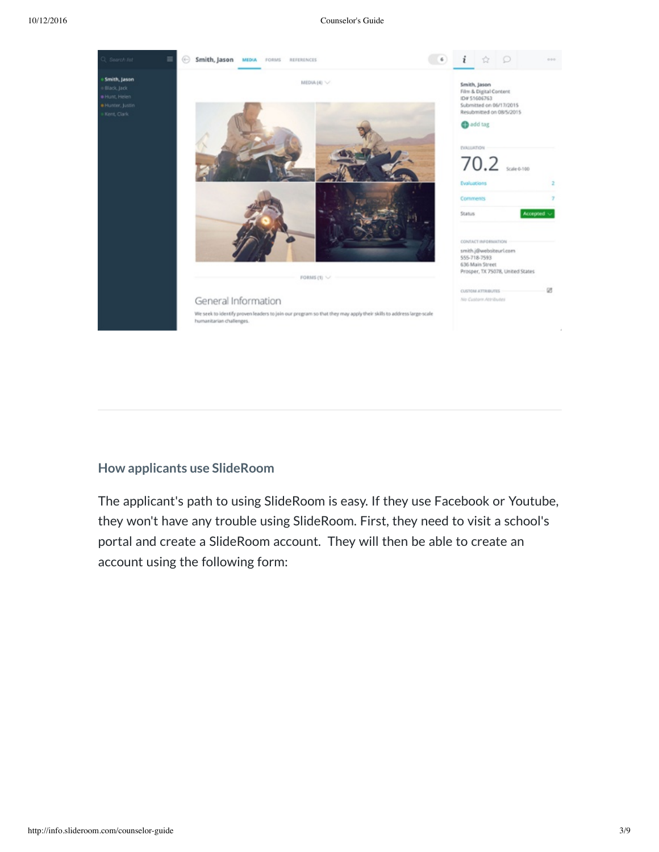

## **How applicants use SlideRoom**

The applicant's path to using SlideRoom is easy. If they use Facebook or Youtube, they won't have any trouble using SlideRoom. First, they need to visit a school's portal and create a SlideRoom account. They will then be able to create an account using the following form: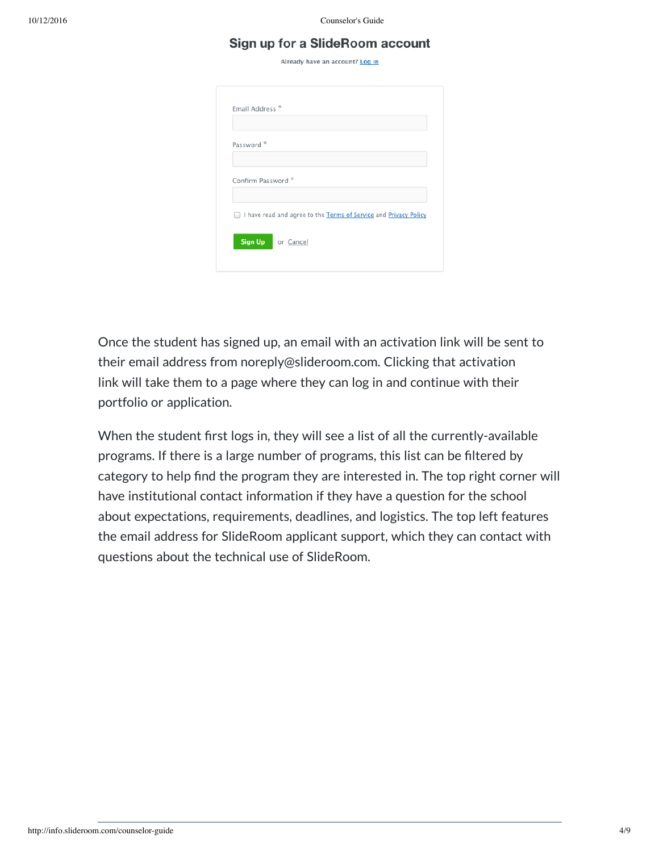### Sign up for a SlideRoom account

Already have an account? Log in

| Email Address <sup>*</sup> |                                                                  |
|----------------------------|------------------------------------------------------------------|
|                            |                                                                  |
| Password <sup>*</sup>      |                                                                  |
|                            |                                                                  |
| Confirm Password *         |                                                                  |
|                            | I have read and agree to the Terms of Service and Privacy Policy |
|                            |                                                                  |
|                            | Sign Up or Cancel                                                |

Once the student has signed up, an email with an activation link will be sent to their email address from noreply@slideroom.com. Clicking that activation link will take them to a page where they can log in and continue with their portfolio or application.

When the student first logs in, they will see a list of all the currently-available programs. If there is a large number of programs, this list can be filtered by category to help find the program they are interested in. The top right corner will have institutional contact information if they have a question for the school about expectations, requirements, deadlines, and logistics. The top left features the email address for SlideRoom applicant support, which they can contact with questions about the technical use of SlideRoom.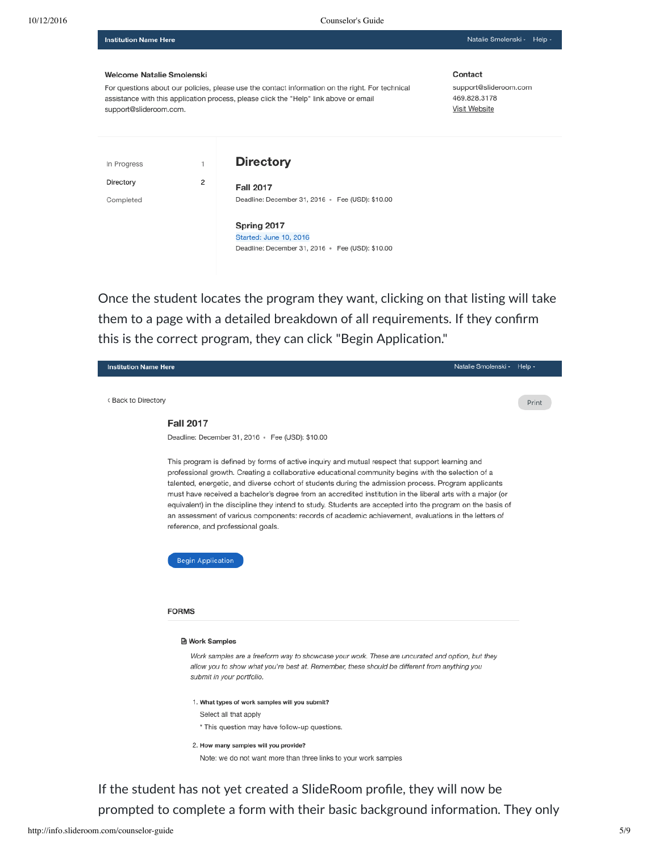Natalie Smolenski - Help -

#### Welcome Natalie Smolenski

**Institution Name Here** 

For questions about our policies, please use the contact information on the right. For technical assistance with this application process, please click the "Help" link above or email support@slideroom.com.

Contact

support@slideroom.com 469.828.3178 **Visit Website** 

| In Progress | $\mathbf{1}$ | <b>Directory</b>                                 |
|-------------|--------------|--------------------------------------------------|
| Directory   | 2            | <b>Fall 2017</b>                                 |
| Completed   |              | Deadline: December 31, 2016 • Fee (USD): \$10.00 |
|             |              | Spring 2017                                      |
|             |              | Started: June 10, 2016                           |
|             |              | Deadline: December 31, 2016 • Fee (USD): \$10.00 |

Once the student locates the program they want, clicking on that listing will take them to a page with a detailed breakdown of all requirements. If they confirm this is the correct program, they can click "Begin Application."

| <b>Institution Name Here</b> | Natalie Smolenski - Help -                                                                                                                                                                                                                                                                                                                                                                                                                                                                                                                                                                                                                                                                                                         |       |
|------------------------------|------------------------------------------------------------------------------------------------------------------------------------------------------------------------------------------------------------------------------------------------------------------------------------------------------------------------------------------------------------------------------------------------------------------------------------------------------------------------------------------------------------------------------------------------------------------------------------------------------------------------------------------------------------------------------------------------------------------------------------|-------|
| < Back to Directory          |                                                                                                                                                                                                                                                                                                                                                                                                                                                                                                                                                                                                                                                                                                                                    | Print |
|                              | <b>Fall 2017</b>                                                                                                                                                                                                                                                                                                                                                                                                                                                                                                                                                                                                                                                                                                                   |       |
|                              | Deadline: December 31, 2016 • Fee (USD): \$10.00                                                                                                                                                                                                                                                                                                                                                                                                                                                                                                                                                                                                                                                                                   |       |
|                              | This program is defined by forms of active inquiry and mutual respect that support learning and<br>professional growth. Creating a collaborative educational community begins with the selection of a<br>talented, energetic, and diverse cohort of students during the admission process. Program applicants<br>must have received a bachelor's degree from an accredited institution in the liberal arts with a major (or<br>equivalent) in the discipline they intend to study. Students are accepted into the program on the basis of<br>an assessment of various components: records of academic achievement, evaluations in the letters of<br>reference, and professional goals.<br><b>Begin Application</b><br><b>FORMS</b> |       |
|                              | <b>■ Work Samples</b>                                                                                                                                                                                                                                                                                                                                                                                                                                                                                                                                                                                                                                                                                                              |       |
|                              | Work samples are a freeform way to showcase your work. These are uncurated and option, but they<br>allow you to show what you're best at. Remember, these should be different from anything you<br>submit in your portfolio.                                                                                                                                                                                                                                                                                                                                                                                                                                                                                                       |       |
|                              | 1. What types of work samples will you submit?<br>Select all that apply<br>* This question may have follow-up questions.                                                                                                                                                                                                                                                                                                                                                                                                                                                                                                                                                                                                           |       |
|                              | 2. How many samples will you provide?                                                                                                                                                                                                                                                                                                                                                                                                                                                                                                                                                                                                                                                                                              |       |
|                              | Note: we do not want more than three links to your work samples                                                                                                                                                                                                                                                                                                                                                                                                                                                                                                                                                                                                                                                                    |       |
|                              |                                                                                                                                                                                                                                                                                                                                                                                                                                                                                                                                                                                                                                                                                                                                    |       |

If the student has not yet created a SlideRoom profile, they will now be prompted to complete a form with their basic background information. They only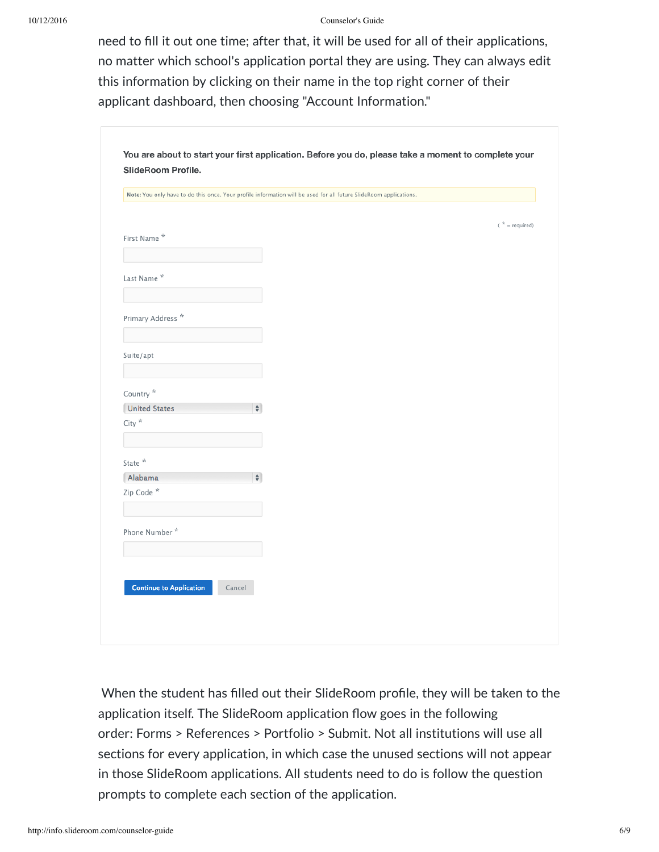need to fill it out one time; after that, it will be used for all of their applications, no matter which school's application portal they are using. They can always edit this information by clicking on their name in the top right corner of their applicant dashboard, then choosing "Account Information."

|                                | Note: You only have to do this once. Your profile information will be used for all future SlideRoom applications. |                  |
|--------------------------------|-------------------------------------------------------------------------------------------------------------------|------------------|
|                                |                                                                                                                   | $(* = required)$ |
| First Name*                    |                                                                                                                   |                  |
|                                |                                                                                                                   |                  |
| Last Name *                    |                                                                                                                   |                  |
|                                |                                                                                                                   |                  |
| Primary Address <sup>*</sup>   |                                                                                                                   |                  |
|                                |                                                                                                                   |                  |
|                                |                                                                                                                   |                  |
| Suite/apt                      |                                                                                                                   |                  |
|                                |                                                                                                                   |                  |
| Country*                       |                                                                                                                   |                  |
| <b>United States</b>           | $\div$                                                                                                            |                  |
| $\mathsf{City}$ $^\star$       |                                                                                                                   |                  |
|                                |                                                                                                                   |                  |
| State $^{\star}$               |                                                                                                                   |                  |
| Alabama                        | $\div$                                                                                                            |                  |
| Zip Code *                     |                                                                                                                   |                  |
|                                |                                                                                                                   |                  |
| Phone Number*                  |                                                                                                                   |                  |
|                                |                                                                                                                   |                  |
|                                |                                                                                                                   |                  |
| <b>Continue to Application</b> | Cancel                                                                                                            |                  |

When the student has filled out their SlideRoom profile, they will be taken to the application itself. The SlideRoom application flow goes in the following order: Forms > References > Portfolio > Submit. Not all institutions will use all sections for every application, in which case the unused sections will not appear in those SlideRoom applications. All students need to do is follow the question prompts to complete each section of the application.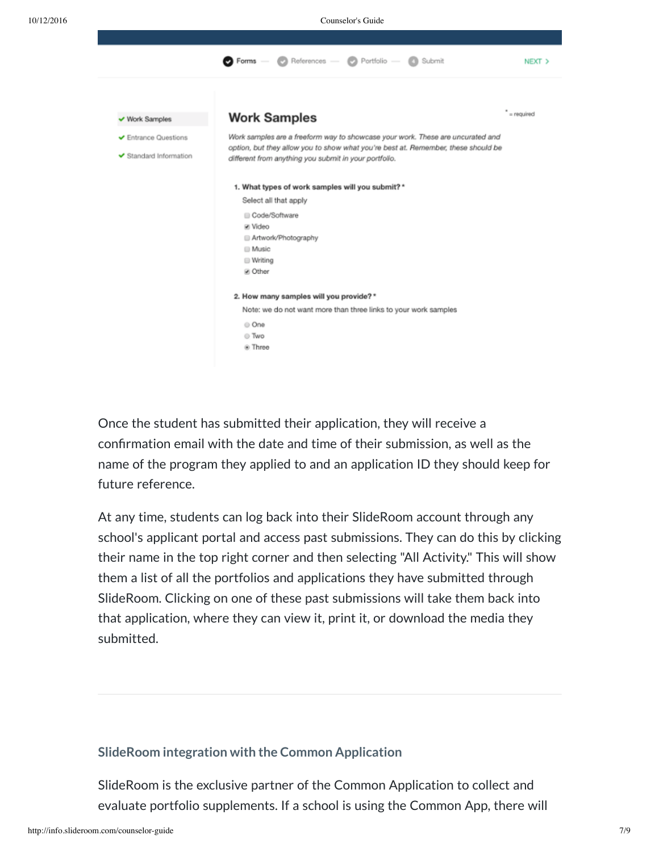

Once the student has submitted their application, they will receive a confirmation email with the date and time of their submission, as well as the name of the program they applied to and an application ID they should keep for future reference.

At any time, students can log back into their SlideRoom account through any school's applicant portal and access past submissions. They can do this by clicking their name in the top right corner and then selecting "All Activity." This will show them a list of all the portfolios and applications they have submitted through SlideRoom. Clicking on one of these past submissions will take them back into that application, where they can view it, print it, or download the media they submitted.

### **SlideRoom integration with the Common Application**

SlideRoom is the exclusive partner of the Common Application to collect and evaluate portfolio supplements. If a school is using the Common App, there will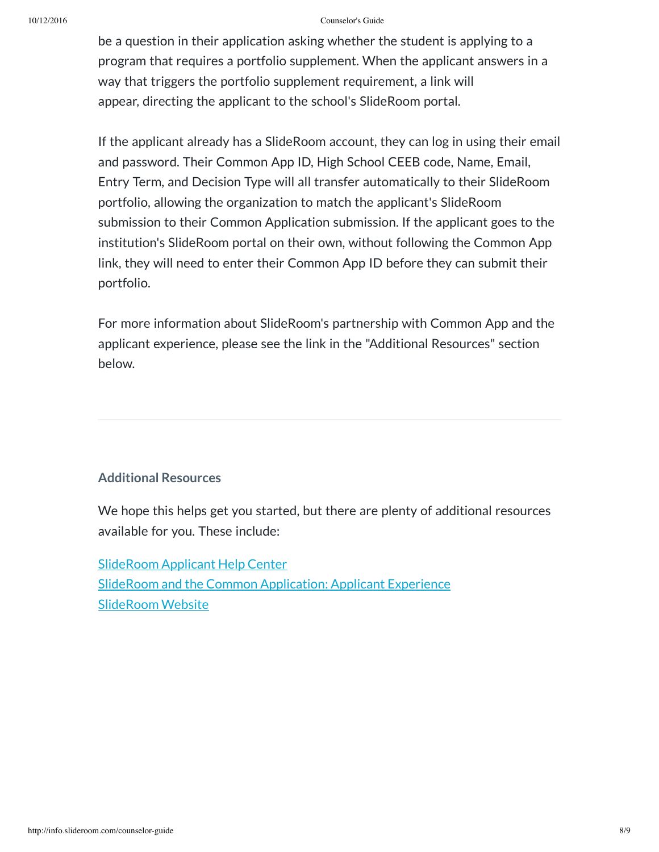be a question in their application asking whether the student is applying to a program that requires a portfolio supplement. When the applicant answers in a way that triggers the portfolio supplement requirement, a link will appear, directing the applicant to the school's SlideRoom portal.

If the applicant already has a SlideRoom account, they can log in using their email and password. Their Common App ID, High School CEEB code, Name, Email, Entry Term, and Decision Type will all transfer automatically to their SlideRoom portfolio, allowing the organization to match the applicant's SlideRoom submission to their Common Application submission. If the applicant goes to the institution's SlideRoom portal on their own, without following the Common App link, they will need to enter their Common App ID before they can submit their portfolio.

For more information about SlideRoom's partnership with Common App and the applicant experience, please see the link in the "Additional Resources" section below.

### **Additional Resources**

We hope this helps get you started, but there are plenty of additional resources available for you. These include:

[SlideRoom](https://support.slideroom.com/) Applicant Help Center [SlideRoom](http://blog.slideroom.com/) [and](http://www.slideroom.com/commonapp/Applicant_Experience.html) the Common [Application:](http://www.slideroom.com/commonapp/Applicant_Experience.html) Applicant Experience [SlideRoom](http://slideroom.com/) Website